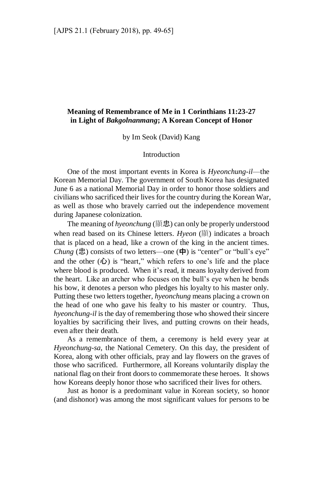## **Meaning of Remembrance of Me in 1 Corinthians 11:23-27 in Light of** *Bakgolnanmang***; A Korean Concept of Honor**

by Im Seok (David) Kang

### Introduction

One of the most important events in Korea is *Hyeonchung-il*—the Korean Memorial Day. The government of South Korea has designated June 6 as a national Memorial Day in order to honor those soldiers and civilians who sacrificed their lives for the country during the Korean War, as well as those who bravely carried out the independence movement during Japanese colonization.

The meaning of *hyeonchung* (顯忠) can only be properly understood when read based on its Chinese letters. *Hyeon* (顯) indicates a broach that is placed on a head, like a crown of the king in the ancient times. *Chung* (忠) consists of two letters—one (中) is "center" or "bull's eye" and the other  $(\mathbf{u})$  is "heart," which refers to one's life and the place where blood is produced. When it's read, it means loyalty derived from the heart. Like an archer who focuses on the bull's eye when he bends his bow, it denotes a person who pledges his loyalty to his master only. Putting these two letters together, *hyeonchung* means placing a crown on the head of one who gave his fealty to his master or country. Thus, *hyeonchung-il* is the day of remembering those who showed their sincere loyalties by sacrificing their lives, and putting crowns on their heads, even after their death.

As a remembrance of them, a ceremony is held every year at *Hyeonchung-sa*, the National Cemetery. On this day, the president of Korea, along with other officials, pray and lay flowers on the graves of those who sacrificed. Furthermore, all Koreans voluntarily display the national flag on their front doors to commemorate these heroes. It shows how Koreans deeply honor those who sacrificed their lives for others.

Just as honor is a predominant value in Korean society, so honor (and dishonor) was among the most significant values for persons to be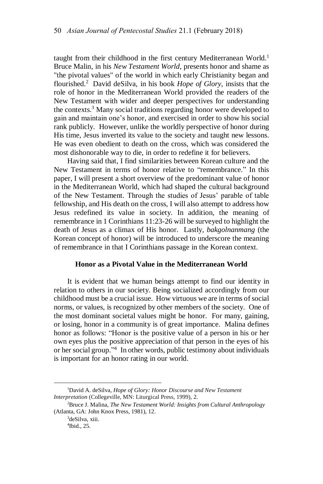taught from their childhood in the first century Mediterranean World.<sup>1</sup> Bruce Malin, in his *New Testament World*, presents honor and shame as "the pivotal values" of the world in which early Christianity began and flourished.<sup>2</sup> David deSilva, in his book *Hope of Glory*, insists that the role of honor in the Mediterranean World provided the readers of the New Testament with wider and deeper perspectives for understanding the contexts.<sup>3</sup> Many social traditions regarding honor were developed to gain and maintain one's honor, and exercised in order to show his social rank publicly. However, unlike the worldly perspective of honor during His time, Jesus inverted its value to the society and taught new lessons. He was even obedient to death on the cross, which was considered the most dishonorable way to die, in order to redefine it for believers.

Having said that, I find similarities between Korean culture and the New Testament in terms of honor relative to "remembrance." In this paper, I will present a short overview of the predominant value of honor in the Mediterranean World, which had shaped the cultural background of the New Testament. Through the studies of Jesus' parable of table fellowship, and His death on the cross, I will also attempt to address how Jesus redefined its value in society. In addition, the meaning of remembrance in 1 Corinthians 11:23-26 will be surveyed to highlight the death of Jesus as a climax of His honor. Lastly, *bakgolnanmang* (the Korean concept of honor) will be introduced to underscore the meaning of remembrance in that I Corinthians passage in the Korean context.

#### **Honor as a Pivotal Value in the Mediterranean World**

It is evident that we human beings attempt to find our identity in relation to others in our society. Being socialized accordingly from our childhood must be a crucial issue. How virtuous we are in terms of social norms, or values, is recognized by other members of the society. One of the most dominant societal values might be honor. For many, gaining, or losing, honor in a community is of great importance. Malina defines honor as follows: "Honor is the positive value of a person in his or her own eyes plus the positive appreciation of that person in the eyes of his or her social group." 4 In other words, public testimony about individuals is important for an honor rating in our world.

<sup>1</sup>David A. deSilva, *Hope of Glory: Honor Discourse and New Testament Interpretation* (Collegeville, MN: Liturgical Press, 1999), 2.

<sup>2</sup>Bruce J. Malina, *The New Testament World: Insights from Cultural Anthropology* (Atlanta, GA: John Knox Press, 1981), 12.

<sup>3</sup>deSilva, xiii.

<sup>4</sup> Ibid., 25.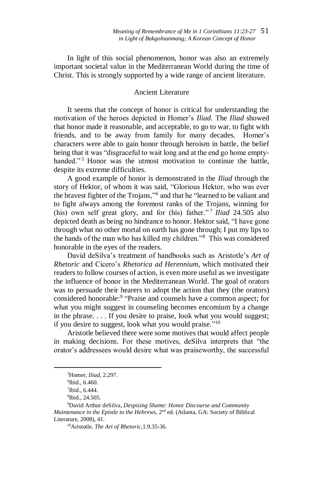In light of this social phenomenon, honor was also an extremely important societal value in the Mediterranean World during the time of Christ. This is strongly supported by a wide range of ancient literature.

# Ancient Literature

It seems that the concept of honor is critical for understanding the motivation of the heroes depicted in Homer's *Iliad*. The *Iliad* showed that honor made it reasonable, and acceptable, to go to war, to fight with friends, and to be away from family for many decades. Homer's characters were able to gain honor through heroism in battle, the belief being that it was "disgraceful to wait long and at the end go home emptyhanded."<sup>5</sup> Honor was the utmost motivation to continue the battle, despite its extreme difficulties.

A good example of honor is demonstrated in the *Iliad* through the story of Hektor, of whom it was said, "Glorious Hektor, who was ever the bravest fighter of the Trojans,"<sup>6</sup> and that he "learned to be valiant and to fight always among the foremost ranks of the Trojans, winning for (his) own self great glory, and for (his) father."<sup>7</sup> Iliad 24.505 also depicted death as being no hindrance to honor. Hektor said, "I have gone through what no other mortal on earth has gone through; I put my lips to the hands of the man who has killed my children."<sup>8</sup> This was considered honorable in the eyes of the readers.

David deSilva's treatment of handbooks such as Aristotle's *Art of Rhetoric* and Cicero's *Rhetorica ad Herennium,* which motivated their readers to follow courses of action, is even more useful as we investigate the influence of honor in the Mediterranean World. The goal of orators was to persuade their hearers to adopt the action that they (the orators) considered honorable: 9 "Praise and counsels have a common aspect; for what you might suggest in counseling becomes encomium by a change in the phrase. . . . If you desire to praise, look what you would suggest; if you desire to suggest, look what you would praise."<sup>10</sup>

Aristotle believed there were some motives that would affect people in making decisions. For these motives, deSilva interprets that "the orator's addressees would desire what was praiseworthy, the successful

<sup>5</sup>Homer, *Iliad*, 2.297.

<sup>6</sup> Ibid., 6.460.

 $7$ Ibid., 6.444.

<sup>8</sup> Ibid., 24.505.

<sup>9</sup>David Arthur deSilva, *Despising Shame: Honor Discourse and Community Maintenance in the Epistle to the Hebrews*, 2<sup>nd</sup> ed. (Atlanta, GA: Society of Biblical Literature, 2008), 41.

<sup>10</sup>Aristotle, *The Art of Rhetoric,*1.9.35-36.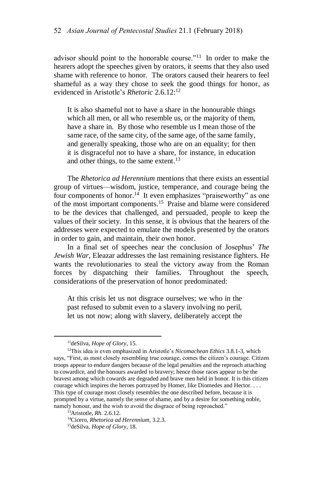advisor should point to the honorable course."<sup>11</sup> In order to make the hearers adopt the speeches given by orators, it seems that they also used shame with reference to honor. The orators caused their hearers to feel shameful as a way they chose to seek the good things for honor, as evidenced in Aristotle's *Rhetoric* 2.6.12:<sup>12</sup>

It is also shameful not to have a share in the honourable things which all men, or all who resemble us, or the majority of them. have a share in. By those who resemble us I mean those of the same race, of the same city, of the same age, of the same family, and generally speaking, those who are on an equality; for then it is disgraceful not to have a share, for instance, in education and other things, to the same extent.<sup>13</sup>

The *Rhetorica ad Herennium* mentions that there exists an essential group of virtues—wisdom, justice, temperance, and courage being the four components of honor.<sup>14</sup> It even emphasizes "praiseworthy" as one of the most important components.<sup>15</sup> Praise and blame were considered to be the devices that challenged, and persuaded, people to keep the values of their society. In this sense, it is obvious that the hearers of the addresses were expected to emulate the models presented by the orators in order to gain, and maintain, their own honor.

In a final set of speeches near the conclusion of Josephus' *The Jewish War*, Eleazar addresses the last remaining resistance fighters. He wants the revolutionaries to steal the victory away from the Roman forces by dispatching their families. Throughout the speech, considerations of the preservation of honor predominated:

At this crisis let us not disgrace ourselves; we who in the past refused to submit even to a slavery involving no peril, let us not now; along with slavery, deliberately accept the

<sup>11</sup>deSilva, *Hope of Glory*, 15.

<sup>12</sup>This idea is even emphasized in Aristotle's *Nicomachean Ethics* 3.8.1-3, which says, "First, as most closely resembling true courage, comes the citizen's courage. Citizen troops appear to endure dangers because of the legal penalties and the reproach attaching to cowardice, and the honours awarded to bravery; hence those races appear to be the bravest among which cowards are degraded and brave men held in honor. It is this citizen courage which inspires the heroes portrayed by Homer, like Diomedes and Hector. . . . This type of courage most closely resembles the one described before, because it is prompted by a virtue, namely the sense of shame, and by a desire for something noble, namely honour, and the wish to avoid the disgrace of being reproached."

<sup>13</sup>Aristotle, *Rh*. 2.6.12.

<sup>14</sup>Cicero, *Rhetorica ad Herennium,* 3.2.3.

<sup>15</sup>deSilva, *Hope of Glory*, 18.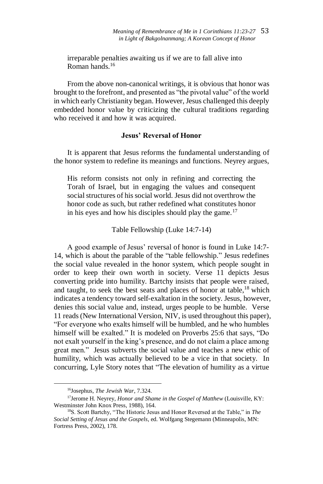irreparable penalties awaiting us if we are to fall alive into Roman hands<sup>16</sup>

From the above non-canonical writings, it is obvious that honor was brought to the forefront, and presented as "the pivotal value" of the world in which early Christianity began. However, Jesus challenged this deeply embedded honor value by criticizing the cultural traditions regarding who received it and how it was acquired.

## **Jesus' Reversal of Honor**

It is apparent that Jesus reforms the fundamental understanding of the honor system to redefine its meanings and functions. Neyrey argues,

His reform consists not only in refining and correcting the Torah of Israel, but in engaging the values and consequent social structures of his social world. Jesus did not overthrow the honor code as such, but rather redefined what constitutes honor in his eyes and how his disciples should play the game.<sup>17</sup>

#### Table Fellowship (Luke 14:7-14)

A good example of Jesus' reversal of honor is found in Luke 14:7- 14, which is about the parable of the "table fellowship." Jesus redefines the social value revealed in the honor system, which people sought in order to keep their own worth in society. Verse 11 depicts Jesus converting pride into humility. Bartchy insists that people were raised, and taught, to seek the best seats and places of honor at table,<sup>18</sup> which indicates a tendency toward self-exaltation in the society. Jesus, however, denies this social value and, instead, urges people to be humble. Verse 11 reads(New International Version, NIV, is used throughout this paper), "For everyone who exalts himself will be humbled, and he who humbles himself will be exalted." It is modeled on Proverbs 25:6 that says, "Do not exalt yourself in the king's presence, and do not claim a place among great men." Jesus subverts the social value and teaches a new ethic of humility, which was actually believed to be a vice in that society. In concurring, Lyle Story notes that "The elevation of humility as a virtue

<sup>16</sup>Josephus, *The Jewish War*, 7.324.

<sup>17</sup>Jerome H. Neyrey, *Honor and Shame in the Gospel of Matthew* (Louisville, KY: Westminster John Knox Press, 1988), 164.

<sup>18</sup>S. Scott Bartchy, "The Historic Jesus and Honor Reversed at the Table," in *The Social Setting of Jesus and the Gospels*, ed. Wolfgang Stegemann (Minneapolis, MN: Fortress Press, 2002), 178.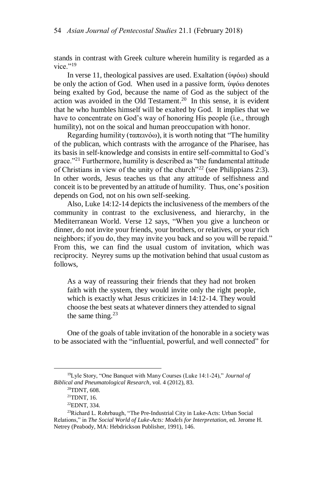stands in contrast with Greek culture wherein humility is regarded as a vice $"$ <sup>19</sup>

In verse 11, theological passives are used. Exaltation (ὑψόω) should be only the action of God. When used in a passive form, ὑψόω denotes being exalted by God, because the name of God as the subject of the action was avoided in the Old Testament.<sup>20</sup> In this sense, it is evident that he who humbles himself will be exalted by God. It implies that we have to concentrate on God's way of honoring His people (i.e., through humility), not on the soical and human preoccupation with honor.

Regarding humility ( $\tau \alpha \pi \epsilon \nu \dot{\alpha}$ ), it is worth noting that "The humility" of the publican, which contrasts with the arrogance of the Pharisee, has its basis in self-knowledge and consists in entire self-committal to God's grace."<sup>21</sup> Furthermore, humility is described as "the fundamental attitude of Christians in view of the unity of the church<sup> $22$ </sup> (see Philippians 2:3). In other words, Jesus teaches us that any attitude of selfishness and conceit is to be prevented by an attitude of humility. Thus, one's position depends on God, not on his own self-seeking.

Also, Luke 14:12-14 depicts the inclusiveness of the members of the community in contrast to the exclusiveness, and hierarchy, in the Mediterranean World. Verse 12 says, "When you give a luncheon or dinner, do not invite your friends, your brothers, or relatives, or your rich neighbors; if you do, they may invite you back and so you will be repaid." From this, we can find the usual custom of invitation, which was reciprocity. Neyrey sums up the motivation behind that usual custom as follows,

As a way of reassuring their friends that they had not broken faith with the system, they would invite only the right people, which is exactly what Jesus criticizes in 14:12-14. They would choose the best seats at whatever dinners they attended to signal the same thing. $23$ 

One of the goals of table invitation of the honorable in a society was to be associated with the "influential, powerful, and well connected" for

<sup>19</sup>Lyle Story, "One Banquet with Many Courses (Luke 14:1-24)," *Journal of Biblical and Pneumatological Research*, vol. 4 (2012), 83.

<sup>20</sup>TDNT, 608.

<sup>21</sup>TDNT, 16.

<sup>22</sup>EDNT, 334.

<sup>&</sup>lt;sup>23</sup>Richard L. Rohrbaugh, "The Pre-Industrial City in Luke-Acts: Urban Social Relations," in *The Social World of Luke-Acts: Models for Interpretation*, ed. Jerome H. Netrey (Peabody, MA: Hebdrickson Publisher, 1991), 146.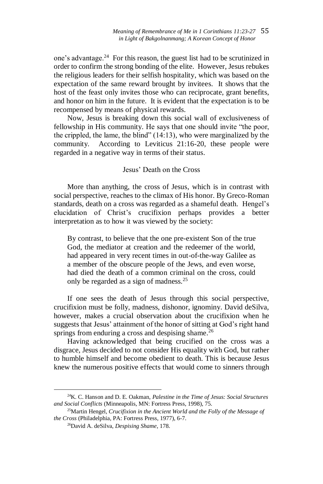one's advantage.<sup>24</sup> For this reason, the guest list had to be scrutinized in order to confirm the strong bonding of the elite. However, Jesus rebukes the religious leaders for their selfish hospitality, which was based on the expectation of the same reward brought by invitees. It shows that the host of the feast only invites those who can reciprocate, grant benefits, and honor on him in the future. It is evident that the expectation is to be recompensed by means of physical rewards.

Now, Jesus is breaking down this social wall of exclusiveness of fellowship in His community. He says that one should invite "the poor, the crippled, the lame, the blind" (14:13), who were marginalized by the community. According to Leviticus 21:16-20, these people were regarded in a negative way in terms of their status.

### Jesus' Death on the Cross

More than anything, the cross of Jesus, which is in contrast with social perspective, reaches to the climax of His honor. By Greco-Roman standards, death on a cross was regarded as a shameful death. Hengel's elucidation of Christ's crucifixion perhaps provides a better interpretation as to how it was viewed by the society:

By contrast, to believe that the one pre-existent Son of the true God, the mediator at creation and the redeemer of the world, had appeared in very recent times in out-of-the-way Galilee as a member of the obscure people of the Jews, and even worse, had died the death of a common criminal on the cross, could only be regarded as a sign of madness.<sup>25</sup>

If one sees the death of Jesus through this social perspective, crucifixion must be folly, madness, dishonor, ignominy. David deSilva, however, makes a crucial observation about the crucifixion when he suggests that Jesus' attainment of the honor of sitting at God's right hand springs from enduring a cross and despising shame.<sup>26</sup>

Having acknowledged that being crucified on the cross was a disgrace, Jesus decided to not consider His equality with God, but rather to humble himself and become obedient to death. This is because Jesus knew the numerous positive effects that would come to sinners through

<sup>24</sup>K. C. Hanson and D. E. Oakman, *Palestine in the Time of Jesus: Social Structures and Social Conflicts* (Minneapolis, MN: Fortress Press, 1998), 75.

<sup>25</sup>Martin Hengel, *Crucifixion in the Ancient World and the Folly of the Message of the Cross* (Philadelphia, PA: Fortress Press, 1977), 6-7.

<sup>26</sup>David A. deSilva, *Despising Shame*, 178.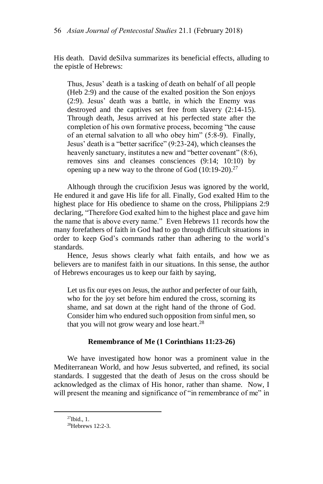His death. David deSilva summarizes its beneficial effects, alluding to the epistle of Hebrews:

Thus, Jesus' death is a tasking of death on behalf of all people (Heb 2:9) and the cause of the exalted position the Son enjoys (2:9). Jesus' death was a battle, in which the Enemy was destroyed and the captives set free from slavery (2:14-15). Through death, Jesus arrived at his perfected state after the completion of his own formative process, becoming "the cause of an eternal salvation to all who obey him" (5:8-9). Finally, Jesus' death is a "better sacrifice" (9:23-24), which cleanses the heavenly sanctuary, institutes a new and "better covenant" (8:6), removes sins and cleanses consciences (9:14; 10:10) by opening up a new way to the throne of God  $(10:19-20).^{27}$ 

Although through the crucifixion Jesus was ignored by the world, He endured it and gave His life for all. Finally, God exalted Him to the highest place for His obedience to shame on the cross, Philippians 2:9 declaring, "Therefore God exalted him to the highest place and gave him the name that is above every name." Even Hebrews 11 records how the many forefathers of faith in God had to go through difficult situations in order to keep God's commands rather than adhering to the world's standards.

Hence, Jesus shows clearly what faith entails, and how we as believers are to manifest faith in our situations. In this sense, the author of Hebrews encourages us to keep our faith by saying,

Let us fix our eyes on Jesus, the author and perfecter of our faith, who for the joy set before him endured the cross, scorning its shame, and sat down at the right hand of the throne of God. Consider him who endured such opposition from sinful men, so that you will not grow weary and lose heart.<sup>28</sup>

### **Remembrance of Me (1 Corinthians 11:23-26)**

We have investigated how honor was a prominent value in the Mediterranean World, and how Jesus subverted, and refined, its social standards. I suggested that the death of Jesus on the cross should be acknowledged as the climax of His honor, rather than shame. Now, I will present the meaning and significance of "in remembrance of me" in

 $27$ Ibid., 1.

<sup>28</sup>Hebrews 12:2-3.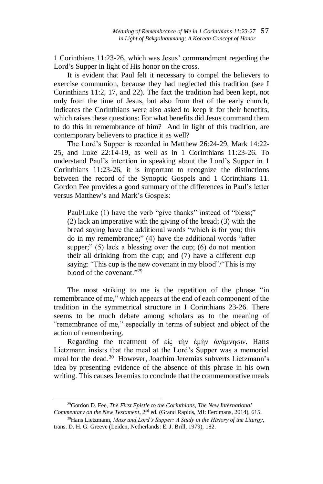1 Corinthians 11:23-26, which was Jesus' commandment regarding the Lord's Supper in light of His honor on the cross.

It is evident that Paul felt it necessary to compel the believers to exercise communion, because they had neglected this tradition (see I Corinthians 11:2, 17, and 22). The fact the tradition had been kept, not only from the time of Jesus, but also from that of the early church, indicates the Corinthians were also asked to keep it for their benefits, which raises these questions: For what benefits did Jesus command them to do this in remembrance of him? And in light of this tradition, are contemporary believers to practice it as well?

The Lord's Supper is recorded in Matthew 26:24-29, Mark 14:22- 25, and Luke 22:14-19, as well as in 1 Corinthians 11:23-26. To understand Paul's intention in speaking about the Lord's Supper in 1 Corinthians 11:23-26, it is important to recognize the distinctions between the record of the Synoptic Gospels and 1 Corinthians 11. Gordon Fee provides a good summary of the differences in Paul's letter versus Matthew's and Mark's Gospels:

Paul/Luke (1) have the verb "give thanks" instead of "bless;" (2) lack an imperative with the giving of the bread; (3) with the bread saying have the additional words "which is for you; this do in my remembrance;" (4) have the additional words "after supper;"  $(5)$  lack a blessing over the cup;  $(6)$  do not mention their all drinking from the cup; and (7) have a different cup saying: "This cup is the new covenant in my blood"/"This is my blood of the covenant." 29

The most striking to me is the repetition of the phrase "in remembrance of me," which appears at the end of each component of the tradition in the symmetrical structure in I Corinthians 23-26. There seems to be much debate among scholars as to the meaning of "remembrance of me," especially in terms of subject and object of the action of remembering.

Regarding the treatment of είς τὴν ἐμὴν ἀνάμνησιν, Hans Lietzmann insists that the meal at the Lord's Supper was a memorial meal for the dead.<sup>30</sup> However, Joachim Jeremias subverts Lietzmann's idea by presenting evidence of the absence of this phrase in his own writing. This causes Jeremias to conclude that the commemorative meals

 $\overline{a}$ <sup>29</sup>Gordon D. Fee, *The First Epistle to the Corinthians, The New International Commentary on the New Testament*, 2nd ed. (Grand Rapids, MI: Eerdmans, 2014), 615.

<sup>30</sup>Hans Lietzmann, *Mass and Lord's Supper: A Study in the History of the Liturgy*, trans. D. H. G. Greeve (Leiden, Netherlands: E. J. Brill, 1979), 182.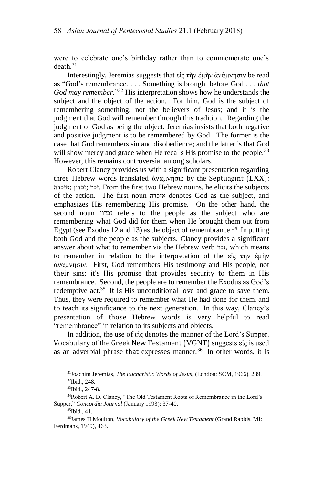were to celebrate one's birthday rather than to commemorate one's  $death<sup>31</sup>$ 

Interestingly, Jeremias suggests that είς τὴν ἐμὴν ἀνάμνησιν be read as "God's remembrance. . . . Something is brought before God . . . *that God may remember.*" <sup>32</sup> His interpretation shows how he understands the subject and the object of the action. For him, God is the subject of remembering something, not the believers of Jesus; and it is the judgment that God will remember through this tradition. Regarding the judgment of God as being the object, Jeremias insists that both negative and positive judgment is to be remembered by God. The former is the case that God remembers sin and disobedience; and the latter is that God will show mercy and grace when He recalls His promise to the people.<sup>33</sup> However, this remains controversial among scholars.

Robert Clancy provides us with a significant presentation regarding three Hebrew words translated ἀνάμνησις by the Septuagint (LXX): אזכדה ;זכדון ;זכר. From the first two Hebrew nouns, he elicits the subjects of the action. The first noun אזכדה denotes God as the subject, and emphasizes His remembering His promise. On the other hand, the second noun זכדון refers to the people as the subject who are remembering what God did for them when He brought them out from Egypt (see Exodus 12 and 13) as the object of remembrance.<sup>34</sup> In putting both God and the people as the subjects, Clancy provides a significant answer about what to remember via the Hebrew verb זכר, which means to remember in relation to the interpretation of the εἰς τὴν ἐμὴν ἀνάμνησιν. First, God remembers His testimony and His people, not their sins; it's His promise that provides security to them in His remembrance. Second, the people are to remember the Exodus as God's redemptive act.<sup>35</sup> It is His unconditional love and grace to save them. Thus, they were required to remember what He had done for them, and to teach its significance to the next generation. In this way, Clancy's presentation of those Hebrew words is very helpful to read "remembrance" in relation to its subjects and objects.

In addition, the use of εἰς denotes the manner of the Lord's Supper. Vocabulary of the Greek New Testament (VGNT) suggests εἰς is used as an adverbial phrase that expresses manner.<sup>36</sup> In other words, it is

<sup>31</sup>Joachim Jeremias, *The Eucharistic Words of Jesus,* (London: SCM, 1966), 239. <sup>32</sup>Ibid., 248.

<sup>33</sup>Ibid., 247-8.

<sup>&</sup>lt;sup>34</sup>Robert A. D. Clancy, "The Old Testament Roots of Remembrance in the Lord's Supper," *Concordia Journal* (January 1993): 37-40.

<sup>35</sup>Ibid., 41.

<sup>36</sup>James H Moulton, *Vocabulary of the Greek New Testament* (Grand Rapids, MI: Eerdmans, 1949), 463.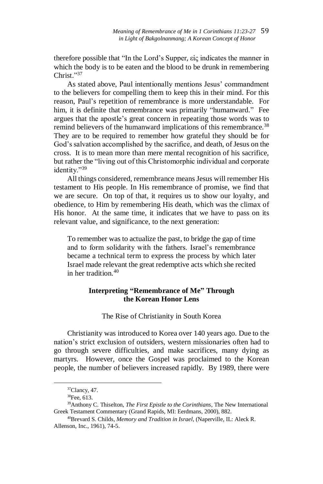therefore possible that "In the Lord's Supper, εἰς indicates the manner in which the body is to be eaten and the blood to be drunk in remembering Christ." 37

As stated above, Paul intentionally mentions Jesus' commandment to the believers for compelling them to keep this in their mind. For this reason, Paul's repetition of remembrance is more understandable. For him, it is definite that remembrance was primarily "humanward." Fee argues that the apostle's great concern in repeating those words was to remind believers of the humanward implications of this remembrance.<sup>38</sup> They are to be required to remember how grateful they should be for God's salvation accomplished by the sacrifice, and death, of Jesus on the cross. It is to mean more than mere mental recognition of his sacrifice, but rather the "living out of this Christomorphic individual and corporate identity."<sup>39</sup>

All things considered, remembrance means Jesus will remember His testament to His people. In His remembrance of promise, we find that we are secure. On top of that, it requires us to show our loyalty, and obedience, to Him by remembering His death, which was the climax of His honor. At the same time, it indicates that we have to pass on its relevant value, and significance, to the next generation:

To remember was to actualize the past, to bridge the gap of time and to form solidarity with the fathers. Israel's remembrance became a technical term to express the process by which later Israel made relevant the great redemptive acts which she recited in her tradition  $40$ 

# **Interpreting "Remembrance of Me" Through the Korean Honor Lens**

The Rise of Christianity in South Korea

Christianity was introduced to Korea over 140 years ago. Due to the nation's strict exclusion of outsiders, western missionaries often had to go through severe difficulties, and make sacrifices, many dying as martyrs. However, once the Gospel was proclaimed to the Korean people, the number of believers increased rapidly. By 1989, there were

<sup>37</sup>Clancy, 47.

 $38$ Fee, 613.

<sup>39</sup>Anthony C. Thiselton, *The First Epistle to the Corinthians*, The New International Greek Testament Commentary (Grand Rapids, MI: Eerdmans, 2000), 882.

<sup>40</sup>Brevard S. Childs, *Memory and Tradition in Israel*, (Naperville, IL: Aleck R. Allenson, Inc., 1961), 74-5.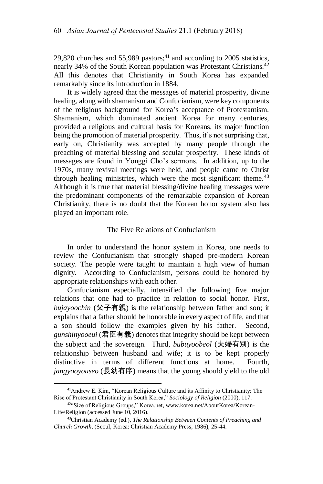29.820 churches and  $55,989$  pastors;<sup>41</sup> and according to 2005 statistics, nearly 34% of the South Korean population was Protestant Christians.<sup>42</sup> All this denotes that Christianity in South Korea has expanded remarkably since its introduction in 1884.

It is widely agreed that the messages of material prosperity, divine healing, along with shamanism and Confucianism, were key components of the religious background for Korea's acceptance of Protestantism. Shamanism, which dominated ancient Korea for many centuries, provided a religious and cultural basis for Koreans, its major function being the promotion of material prosperity. Thus, it's not surprising that, early on, Christianity was accepted by many people through the preaching of material blessing and secular prosperity. These kinds of messages are found in Yonggi Cho's sermons. In addition, up to the 1970s, many revival meetings were held, and people came to Christ through healing ministries, which were the most significant theme.  $43$ Although it is true that material blessing/divine healing messages were the predominant components of the remarkable expansion of Korean Christianity, there is no doubt that the Korean honor system also has played an important role.

#### The Five Relations of Confucianism

In order to understand the honor system in Korea, one needs to review the Confucianism that strongly shaped pre-modern Korean society. The people were taught to maintain a high view of human dignity. According to Confucianism, persons could be honored by appropriate relationships with each other.

Confucianism especially, intensified the following five major relations that one had to practice in relation to social honor. First, *bujayoochin* (父子有親) is the relationship between father and son; it explains that a father should be honorable in every aspect of life, and that a son should follow the examples given by his father. Second, *gunshinyooeui* (君臣有義) denotes that integrity should be kept between the subject and the sovereign. Third, *bubuyoobeol* (夫婦有別) is the relationship between husband and wife; it is to be kept properly distinctive in terms of different functions at home. Fourth, *jangyooyouseo* (長幼有序) means that the young should yield to the old

<sup>41</sup>Andrew E. Kim, "Korean Religious Culture and its Affinity to Christianity: The Rise of Protestant Christianity in South Korea," *Sociology of Religion* (2000), 117.

<sup>&</sup>lt;sup>42"</sup>Size of Religious Groups," Korea.net, www.korea.net/AboutKorea/Korean-Life/Religion (accessed June 10, 2016).

<sup>43</sup>Christian Academy (ed.), *The Relationship Between Contents of Preaching and Church Growth*, (Seoul, Korea: Christian Academy Press, 1986), 25-44.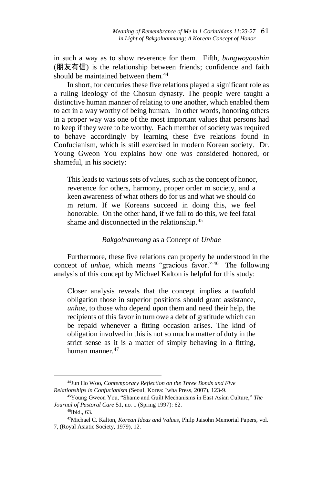in such a way as to show reverence for them. Fifth, *bungwoyooshin* (朋友有信) is the relationship between friends; confidence and faith should be maintained between them.<sup>44</sup>

In short, for centuries these five relations played a significant role as a ruling ideology of the Chosun dynasty. The people were taught a distinctive human manner of relating to one another, which enabled them to act in a way worthy of being human. In other words, honoring others in a proper way was one of the most important values that persons had to keep if they were to be worthy. Each member of society was required to behave accordingly by learning these five relations found in Confucianism, which is still exercised in modern Korean society. Dr. Young Gweon You explains how one was considered honored, or shameful, in his society:

This leads to various sets of values, such as the concept of honor, reverence for others, harmony, proper order m society, and a keen awareness of what others do for us and what we should do m return. If we Koreans succeed in doing this, we feel honorable. On the other hand, if we fail to do this, we feel fatal shame and disconnected in the relationship.<sup>45</sup>

### *Bakgolnanmang* as a Concept of *Unhae*

Furthermore, these five relations can properly be understood in the concept of *unhae*, which means "gracious favor." <sup>46</sup> The following analysis of this concept by Michael Kalton is helpful for this study:

Closer analysis reveals that the concept implies a twofold obligation those in superior positions should grant assistance, *unhae*, to those who depend upon them and need their help, the recipients of this favor in turn owe a debt of gratitude which can be repaid whenever a fitting occasion arises. The kind of obligation involved in this is not so much a matter of duty in the strict sense as it is a matter of simply behaving in a fitting, human manner.<sup>47</sup>

<sup>44</sup>Jun Ho Woo, *Contemporary Reflection o[n the](http://endic.naver.com/search.nhn?query=the) [Three](http://endic.naver.com/search.nhn?query=three) [Bonds](http://endic.naver.com/search.nhn?query=bond) [and](http://endic.naver.com/search.nhn?query=and) [Five](http://endic.naver.com/search.nhn?query=five) [Relationships](http://endic.naver.com/search.nhn?query=relationship) [in](http://endic.naver.com/search.nhn?query=in) Confucianism* (Seoul, Korea: Iwha Press, 2007), 123-9.

<sup>45</sup>Young Gweon You, "Shame and Guilt Mechanisms in East Asian Culture," *The Journal of Pastoral Care* 51, no. 1 (Spring 1997): 62.

<sup>46</sup>Ibid., 63.

<sup>47</sup>Michael C. Kalton, *Korean Ideas and Values*, Philp Jaisohn Memorial Papers, vol. 7, (Royal Asiatic Society, 1979), 12.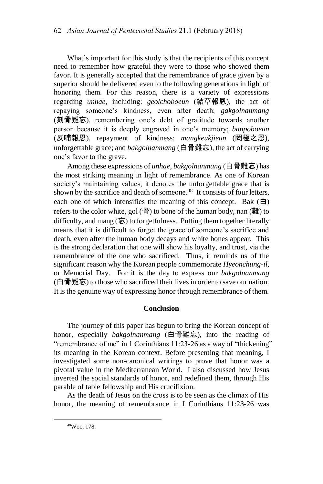What's important for this study is that the recipients of this concept need to remember how grateful they were to those who showed them favor. It is generally accepted that the remembrance of grace given by a superior should be delivered even to the following generations in light of honoring them. For this reason, there is a variety of expressions regarding *unhae*, including: *geolchoboeun* (結草報恩), the act of repaying someone's kindness, even after death; *gakgolnanmang* (刻骨難忘), remembering one's debt of gratitude towards another person because it is deeply engraved in one's memory; *banpoboeun* (反哺報恩), repayment of kindness; *mangkeukjieun* (罔極之恩), unforgettable grace; and *bakgolnanmang* (白骨難忘), the act of carrying one's favor to the grave.

Among these expressions of *unhae*, *bakgolnanmang* (白骨難忘) has the most striking meaning in light of remembrance. As one of Korean society's maintaining values, it denotes the unforgettable grace that is shown by the sacrifice and death of someone. <sup>48</sup> It consists of four letters, each one of which intensifies the meaning of this concept. Bak  $(\dot{\boxminus})$ refers to the color white, gol  $(\frac{4}{9})$  to bone of the human body, nan  $(\frac{34}{10})$  to difficulty, and mang  $(\bar{\mathbf{F}})$  to forgetfulness. Putting them together literally means that it is difficult to forget the grace of someone's sacrifice and death, even after the human body decays and white bones appear. This is the strong declaration that one will show his loyalty, and trust, via the remembrance of the one who sacrificed. Thus, it reminds us of the significant reason why the Korean people commemorate *Hyeonchung-il*, or Memorial Day. For it is the day to express our *bakgolnanmang* (白骨難忘) to those who sacrificed their lives in order to save our nation. It is the genuine way of expressing honor through remembrance of them.

### **Conclusion**

The journey of this paper has begun to bring the Korean concept of honor, especially *bakgolnanmang* (白骨難忘), into the reading of "remembrance of me" in 1 Corinthians 11:23-26 as a way of "thickening" its meaning in the Korean context. Before presenting that meaning, I investigated some non-canonical writings to prove that honor was a pivotal value in the Mediterranean World. I also discussed how Jesus inverted the social standards of honor, and redefined them, through His parable of table fellowship and His crucifixion.

As the death of Jesus on the cross is to be seen as the climax of His honor, the meaning of remembrance in I Corinthians 11:23-26 was

<sup>48</sup>Woo, 178.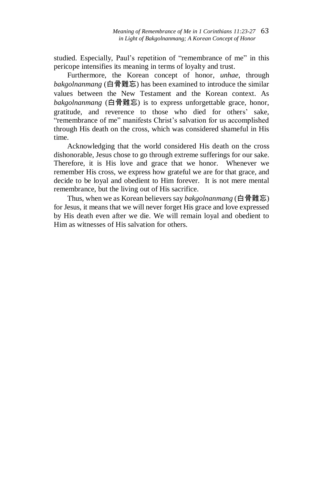studied. Especially, Paul's repetition of "remembrance of me" in this pericope intensifies its meaning in terms of loyalty and trust.

Furthermore, the Korean concept of honor, *unhae*, through *bakgolnanmang* (白骨難忘) has been examined to introduce the similar values between the New Testament and the Korean context. As *bakgolnanmang* (白骨難忘) is to express unforgettable grace, honor, gratitude, and reverence to those who died for others' sake, "remembrance of me" manifests Christ's salvation for us accomplished through His death on the cross, which was considered shameful in His time.

Acknowledging that the world considered His death on the cross dishonorable, Jesus chose to go through extreme sufferings for our sake. Therefore, it is His love and grace that we honor. Whenever we remember His cross, we express how grateful we are for that grace, and decide to be loyal and obedient to Him forever. It is not mere mental remembrance, but the living out of His sacrifice.

Thus, when we as Korean believers say *bakgolnanmang* (白骨難忘) for Jesus, it means that we will never forget His grace and love expressed by His death even after we die. We will remain loyal and obedient to Him as witnesses of His salvation for others.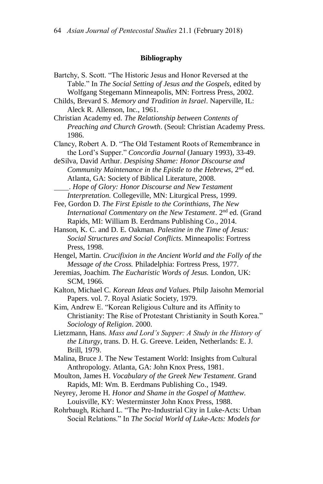#### **Bibliography**

Bartchy, S. Scott. "The Historic Jesus and Honor Reversed at the Table." In *The Social Setting of Jesus and the Gospels*, edited by Wolfgang Stegemann Minneapolis, MN: Fortress Press, 2002. Childs, Brevard S. *Memory and Tradition in Israel*. Naperville, IL: Aleck R. Allenson, Inc., 1961. Christian Academy ed. *The Relationship between Contents of Preaching and Church Growth*. (Seoul: Christian Academy Press. 1986. Clancy, Robert A. D. "The Old Testament Roots of Remembrance in the Lord's Supper." *Concordia Journal* (January 1993), 33-49. deSilva, David Arthur. *Despising Shame: Honor Discourse and Community Maintenance in the Epistle to the Hebrews*, 2<sup>nd</sup> ed. Atlanta, GA: Society of Biblical Literature, 2008. . *Hope of Glory: Honor Discourse and New Testament Interpretation.* Collegeville, MN: Liturgical Press, 1999. Fee, Gordon D. *The First Epistle to the Corinthians, The New International Commentary on the New Testament*. 2nd ed. (Grand Rapids, MI: William B. Eerdmans Publishing Co., 2014. Hanson, K. C. and D. E. Oakman. *Palestine in the Time of Jesus: Social Structures and Social Conflicts*. Minneapolis: Fortress Press, 1998. Hengel, Martin. *Crucifixion in the Ancient World and the Folly of the Message of the Cross.* Philadelphia: Fortress Press, 1977. Jeremias, Joachim. *The Eucharistic Words of Jesus.* London, UK: SCM, 1966. Kalton, Michael C. *Korean Ideas and Values*. Philp Jaisohn Memorial Papers. vol. 7. Royal Asiatic Society, 1979.

Kim, Andrew E. "Korean Religious Culture and its Affinity to Christianity: The Rise of Protestant Christianity in South Korea." *Sociology of Religion*. 2000.

Lietzmann, Hans. *Mass and Lord's Supper: A Study in the History of the Liturgy*, trans. D. H. G. Greeve. Leiden, Netherlands: E. J. Brill, 1979.

Malina, Bruce J. The New Testament World: Insights from Cultural Anthropology. Atlanta, GA: John Knox Press, 1981.

Moulton, James H. *Vocabulary of the Greek New Testament*. Grand Rapids, MI: Wm. B. Eerdmans Publishing Co., 1949.

Neyrey, Jerome H. *Honor and Shame in the Gospel of Matthew*. Louisville, KY: Westerminster John Knox Press, 1988.

Rohrbaugh, Richard L. "The Pre-Industrial City in Luke-Acts: Urban Social Relations." In *The Social World of Luke-Acts: Models for*